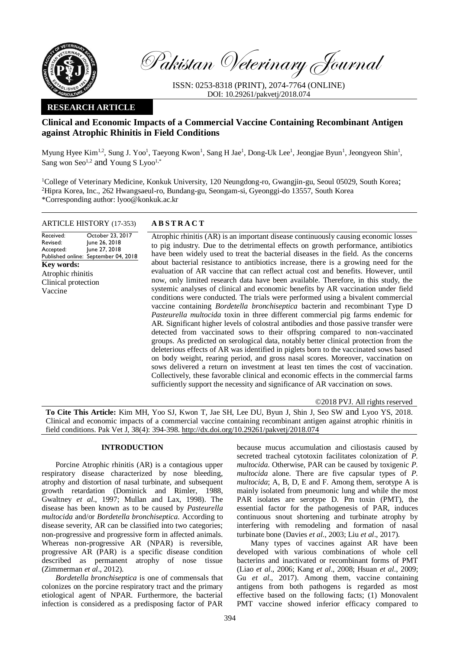

Pakistan Veterinary Journal

ISSN: 0253-8318 (PRINT), 2074-7764 (ONLINE) DOI: 10.29261/pakvetj/2018.074

## **RESEARCH ARTICLE**

# **Clinical and Economic Impacts of a Commercial Vaccine Containing Recombinant Antigen against Atrophic Rhinitis in Field Conditions**

Myung Hyee Kim<sup>1,2</sup>, Sung J. Yoo<sup>1</sup>, Taeyong Kwon<sup>1</sup>, Sang H Jae<sup>1</sup>, Dong-Uk Lee<sup>1</sup>, Jeongjae Byun<sup>1</sup>, Jeongyeon Shin<sup>1</sup>, Sang won Seo<sup>1,2</sup> and Young S Lyoo<sup>1,\*</sup>

<sup>1</sup>College of Veterinary Medicine, Konkuk University, 120 Neungdong-ro, Gwangjin-gu, Seoul 05029, South Korea; <sup>2</sup>Hipra Korea, Inc., 262 Hwangsaeul-ro, Bundang-gu, Seongam-si, Gyeonggi-do 13557, South Korea \*Corresponding author: lyoo@konkuk.ac.kr

## ARTICLE HISTORY (17-353) **A B S T R A C T**

Received: Revised: Accepted: Published online: September 04, 2018 October 23, 2017 June 26, 2018 June 27, 2018 **Key words:**  Atrophic rhinitis Clinical protection Vaccine

Atrophic rhinitis (AR) is an important disease continuously causing economic losses to pig industry. Due to the detrimental effects on growth performance, antibiotics have been widely used to treat the bacterial diseases in the field. As the concerns about bacterial resistance to antibiotics increase, there is a growing need for the evaluation of AR vaccine that can reflect actual cost and benefits. However, until now, only limited research data have been available. Therefore, in this study, the systemic analyses of clinical and economic benefits by AR vaccination under field conditions were conducted. The trials were performed using a bivalent commercial vaccine containing *Bordetella bronchiseptica* bacterin and recombinant Type D *Pasteurella multocida* toxin in three different commercial pig farms endemic for AR. Significant higher levels of colostral antibodies and those passive transfer were detected from vaccinated sows to their offspring compared to non-vaccinated groups. As predicted on serological data, notably better clinical protection from the deleterious effects of AR was identified in piglets born to the vaccinated sows based on body weight, rearing period, and gross nasal scores. Moreover, vaccination on sows delivered a return on investment at least ten times the cost of vaccination. Collectively, these favorable clinical and economic effects in the commercial farms sufficiently support the necessity and significance of AR vaccination on sows.

©2018 PVJ. All rights reserved

**To Cite This Article:** Kim MH, Yoo SJ, Kwon T, Jae SH, Lee DU, Byun J, Shin J, Seo SW and Lyoo YS, 2018. Clinical and economic impacts of a commercial vaccine containing recombinant antigen against atrophic rhinitis in field conditions. Pak Vet J, 38(4): 394-398[. http://dx.doi.org/10.29261/pakvetj/2018.074](http://pvj.com.pk/pdf-files/38_4/394-398.pdf) 

## **INTRODUCTION**

Porcine Atrophic rhinitis (AR) is a contagious upper respiratory disease characterized by nose bleeding, atrophy and distortion of nasal turbinate, and subsequent growth retardation (Dominick and Rimler, 1988, Gwaltney *et al*., 1997; Mullan and Lax, 1998). The disease has been known as to be caused by *Pasteurella multocida* and/or *Bordetella bronchiseptica*. According to disease severity, AR can be classified into two categories; non-progressive and progressive form in affected animals. Whereas non-progressive AR (NPAR) is reversible, progressive AR (PAR) is a specific disease condition described as permanent atrophy of nose tissue (Zimmerman *et al*., 2012).

*Bordetella bronchiseptica* is one of commensals that colonizes on the porcine respiratory tract and the primary etiological agent of NPAR. Furthermore, the bacterial infection is considered as a predisposing factor of PAR

because mucus accumulation and ciliostasis caused by secreted tracheal cytotoxin facilitates colonization of *P. multocida*. Otherwise, PAR can be caused by toxigenic *P. multocida* alone. There are five capsular types of *P. multocida*; A, B, D, E and F. Among them, serotype A is mainly isolated from pneumonic lung and while the most PAR isolates are serotype D. Pm toxin (PMT), the essential factor for the pathogenesis of PAR, induces continuous snout shortening and turbinate atrophy by interfering with remodeling and formation of nasal turbinate bone (Davies *et al*., 2003; Liu *et al*., 2017).

Many types of vaccines against AR have been developed with various combinations of whole cell bacterins and inactivated or recombinant forms of PMT (Liao *et al*., 2006; Kang *et al*., 2008; Hsuan *et al*., 2009; Gu *et al*., 2017). Among them, vaccine containing antigens from both pathogens is regarded as most effective based on the following facts; (1) Monovalent PMT vaccine showed inferior efficacy compared to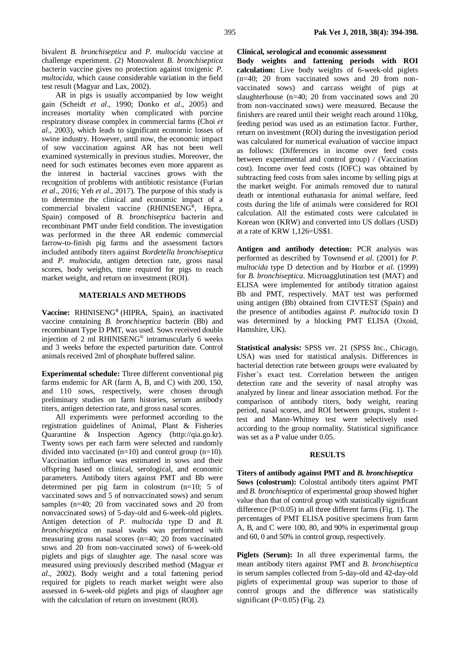bivalent *B. bronchiseptica* and *P. multocida* vaccine at challenge experiment. (2) Monovalent *B. bronchiseptica* bacterin vaccine gives no protection against toxigenic *P. multocida*, which cause considerable variation in the field test result (Magyar and Lax, 2002).

AR in pigs is usually accompanied by low weight gain (Scheidt *et al*., 1990; Donko *et al*., 2005) and increases mortality when complicated with porcine respiratory disease complex in commercial farms (Choi *et al*., 2003), which leads to significant economic losses of swine industry. However, until now, the economic impact of sow vaccination against AR has not been well examined systemically in previous studies. Moreover, the need for such estimates becomes even more apparent as the interest in bacterial vaccines grows with the recognition of problems with antibiotic resistance (Furian *et al*., 2016; Yeh *et al*., 2017). The purpose of this study is to determine the clinical and economic impact of a commercial bivalent vaccine (RHINISENG**®** , Hipra, Spain) composed of *B. bronchiseptica* bacterin and recombinant PMT under field condition. The investigation was performed in the three AR endemic commercial farrow-to-finish pig farms and the assessment factors included antibody titers against *Bordetella bronchiseptica* and *P. multocida*, antigen detection rate, gross nasal scores, body weights, time required for pigs to reach market weight, and return on investment (ROI).

## **MATERIALS AND METHODS**

**Vaccine:** RHINISENG**®** (HIPRA, Spain), an inactivated vaccine containing *B. bronchiseptica* bacterin (Bb) and recombinant Type D PMT, was used. Sows received double injection of 2 ml RHINISENG® intramuscularly 6 weeks and 3 weeks before the expected parturition date. Control animals received 2ml of phosphate buffered saline.

**Experimental schedule:** Three different conventional pig farms endemic for AR (farm A, B, and C) with 200, 150, and 110 sows, respectively, were chosen through preliminary studies on farm histories, serum antibody titers, antigen detection rate, and gross nasal scores.

All experiments were performed according to the registration guidelines of Animal, Plant & Fisheries Quarantine & Inspection Agency (http://qia.go.kr). Twenty sows per each farm were selected and randomly divided into vaccinated (n=10) and control group (n=10). Vaccination influence was estimated in sows and their offspring based on clinical, serological, and economic parameters. Antibody titers against PMT and Bb were determined per pig farm in colostrum (n=10; 5 of vaccinated sows and 5 of nonvaccinated sows) and serum samples (n=40; 20 from vaccinated sows and 20 from nonvaccinated sows) of 5-day-old and 6-week-old piglets. Antigen detection of *P. multocida* type D and *B. bronchiseptica* on nasal swabs was performed with measuring gross nasal scores (n=40; 20 from vaccinated sows and 20 from non-vaccinated sows) of 6-week-old piglets and pigs of slaughter age. The nasal score was measured using previously described method (Magyar *et al*., 2002). Body weight and a total fattening period required for piglets to reach market weight were also assessed in 6-week-old piglets and pigs of slaughter age with the calculation of return on investment (ROI).

**Clinical, serological and economic assessment**

**Body weights and fattening periods with ROI calculation:** Live body weights of 6-week-old piglets (n=40; 20 from vaccinated sows and 20 from nonvaccinated sows) and carcass weight of pigs at slaughterhouse (n=40; 20 from vaccinated sows and 20 from non-vaccinated sows) were measured. Because the finishers are reared until their weight reach around 110kg, feeding period was used as an estimation factor. Further, return on investment (ROI) during the investigation period was calculated for numerical evaluation of vaccine impact as follows: (Differences in income over feed costs between experimental and control group) / (Vaccination cost). Income over feed costs (IOFC) was obtained by subtracting feed costs from sales income by selling pigs at the market weight. For animals removed due to natural death or intentional euthanasia for animal welfare, feed costs during the life of animals were considered for ROI calculation. All the estimated costs were calculated in Korean won (KRW) and converted into US dollars (USD) at a rate of KRW 1,126=US\$1.

**Antigen and antibody detection:** PCR analysis was performed as described by Townsend *et al*. (2001) for *P. multocida* type D detection and by Hozbor *et al*. (1999) for *B. bronchiseptica*. Microagglutination test (MAT) and ELISA were implemented for antibody titration against Bb and PMT, respectively. MAT test was performed using antigen (Bb) obtained from CIVTEST (Spain) and the presence of antibodies against *P. multocida* toxin D was determined by a blocking PMT ELISA (Oxoid, Hamshire, UK).

**Statistical analysis:** SPSS ver. 21 (SPSS Inc., Chicago, USA) was used for statistical analysis. Differences in bacterial detection rate between groups were evaluated by Fisher`s exact test. Correlation between the antigen detection rate and the severity of nasal atrophy was analyzed by linear and linear association method. For the comparison of antibody titers, body weight, rearing period, nasal scores, and ROI between groups, student ttest and Mann-Whitney test were selectively used according to the group normality. Statistical significance was set as a P value under 0.05.

#### **RESULTS**

#### **Titers of antibody against PMT and** *B. bronchiseptica*

**Sows (colostrum):** Colostral antibody titers against PMT and *B. bronchiseptica* of experimental group showed higher value than that of control group with statistically significant difference (P<0.05) in all three different farms (Fig. 1). The percentages of PMT ELISA positive specimens from farm A, B, and C were 100, 80, and 90% in experimental group and 60, 0 and 50% in control group, respectively.

**Piglets (Serum):** In all three experimental farms, the mean antibody titers against PMT and *B. bronchiseptica* in serum samples collected from 5-day-old and 42-day-old piglets of experimental group was superior to those of control groups and the difference was statistically significant (P< $0.05$ ) (Fig. 2).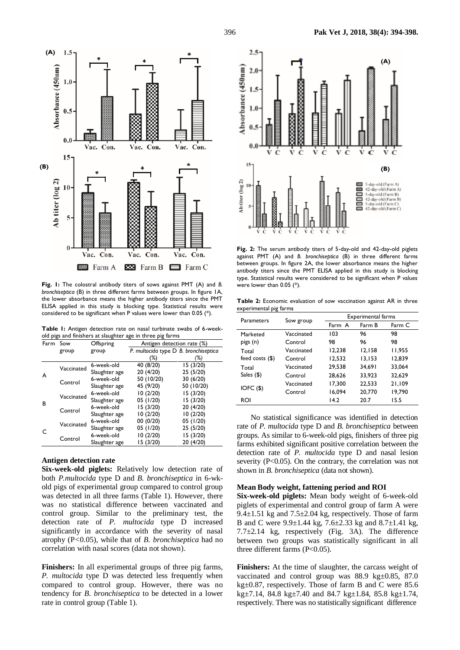

**Fig. 1:** The colostral antibody titers of sows against PMT (A) and *B. bronchiseptica* (B) in three different farms between groups. In figure 1A, the lower absorbance means the higher antibody titers since the PMT ELISA applied in this study is blocking type. Statistical results were considered to be significant when P values were lower than 0.05 (\*).

**Table 1:** Antigen detection rate on nasal turbinate swabs of 6-weekold pigs and finishers at slaughter age in three pig farms

| Farm Sow |            | Offspring     | Antigen detection rate (%)            |            |  |
|----------|------------|---------------|---------------------------------------|------------|--|
|          | group      | group         | P. multocida type D B. bronchiseptica |            |  |
|          |            |               | (%)                                   | (%)        |  |
| A        | Vaccinated | 6-week-old    | 40 (8/20)                             | 15(3/20)   |  |
|          |            | Slaughter age | 20 (4/20)                             | 25 (5/20)  |  |
|          | Control    | 6-week-old    | 50 (10/20)                            | 30 (6/20)  |  |
|          |            | Slaughter age | 45 (9/20)                             | 50 (10/20) |  |
| B        | Vaccinated | 6-week-old    | 10(2/20)                              | 15 (3/20)  |  |
|          |            | Slaughter age | 05 (1/20)                             | 15(3/20)   |  |
|          | Control    | 6-week-old    | 15 (3/20)                             | 20 (4/20)  |  |
|          |            | Slaughter age | 10(2/20)                              | 10(2/20)   |  |
| C        | Vaccinated | 6-week-old    | 00 (0/20)                             | 05 (1/20)  |  |
|          |            | Slaughter age | 05 (1/20)                             | 25 (5/20)  |  |
|          | Control    | 6-week-old    | 10(2/20)                              | 15 (3/20)  |  |
|          |            | Slaughter age | 15 (3/20)                             | 20 (4/20)  |  |

### **Antigen detection rate**

**Six-week-old piglets:** Relatively low detection rate of both *P.multocida* type D and *B. bronchiseptica* in 6-wkold pigs of experimental group compared to control group was detected in all three farms (Table 1). However, there was no statistical difference between vaccinated and control group. Similar to the preliminary test, the detection rate of *P. multocida* type D increased significantly in accordance with the severity of nasal atrophy (P*<*0.05), while that of *B. bronchiseptica* had no correlation with nasal scores (data not shown).

**Finishers:** In all experimental groups of three pig farms, *P. multocida* type D was detected less frequently when compared to control group. However, there was no tendency for *B. bronchiseptica* to be detected in a lower rate in control group (Table 1).



**Fig. 2:** The serum antibody titers of 5-day-old and 42-day-old piglets against PMT (A) and *B. bronchiseptica* (B) in three different farms between groups. In figure 2A, the lower absorbance means the higher antibody titers since the PMT ELISA applied in this study is blocking type. Statistical results were considered to be significant when P values were lower than 0.05 (\*).

**Table 2:** Economic evaluation of sow vaccination against AR in three experimental pig farms

| Parameters        | Sow group  | <b>Experimental farms</b> |        |        |
|-------------------|------------|---------------------------|--------|--------|
|                   |            | Farm A                    | Farm B | Farm C |
| Marketed          | Vaccinated | 103                       | 96     | 98     |
| pigs (n)          | Control    | 98                        | 96     | 98     |
| Total             | Vaccinated | 12,238                    | 12,158 | 11,955 |
| feed costs $(\$)$ | Control    | 12,532                    | 13,153 | 12,839 |
| Total             | Vaccinated | 29,538                    | 34.691 | 33,064 |
| Sales $($ \$)     | Control    | 28,626                    | 33.923 | 32,629 |
| IOFC ( \$ )       | Vaccinated | 17,300                    | 22,533 | 21,109 |
|                   | Control    | 16,094                    | 20,770 | 19,790 |
| <b>ROI</b>        |            | 14.2                      | 20.7   | 15.5   |

No statistical significance was identified in detection rate of *P. multocida* type D and *B. bronchiseptica* between groups. As similar to 6-week-old pigs, finishers of three pig farms exhibited significant positive correlation between the detection rate of *P. multocida* type D and nasal lesion severity  $(P<0.05)$ . On the contrary, the correlation was not shown in *B. bronchiseptica* (data not shown).

#### **Mean Body weight, fattening period and ROI**

**Six-week-old piglets:** Mean body weight of 6-week-old piglets of experimental and control group of farm A were 9.4 $\pm$ 1.51 kg and 7.5 $\pm$ 2.04 kg, respectively. Those of farm B and C were 9.9±1.44 kg, 7.6±2.33 kg and 8.7±1.41 kg, 7.7±2.14 kg, respectively (Fig. 3A). The difference between two groups was statistically significant in all three different farms (P<0.05).

**Finishers:** At the time of slaughter, the carcass weight of vaccinated and control group was 88.9 kg±0.85, 87.0 kg±0.87, respectively. Those of farm B and C were 85.6 kg±7.14, 84.8 kg±7.40 and 84.7 kg±1.84, 85.8 kg±1.74, respectively. There was no statistically significant difference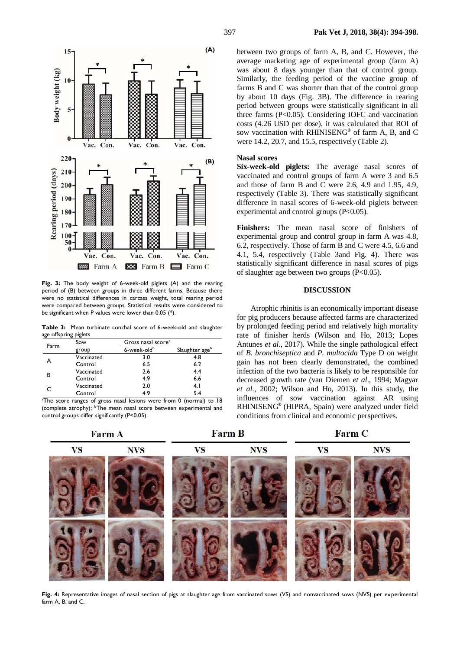

**Fig. 3:** The body weight of 6-week-old piglets (A) and the rearing period of (B) between groups in three different farms. Because there were no statistical differences in carcass weight, total rearing period were compared between groups. Statistical results were considered to be significant when P values were lower than 0.05 (\*).

**Table 3:** Mean turbinate conchal score of 6-week-old and slaughter age offspring piglets

| Farm | Sow        | Gross nasal score <sup>a</sup> |                            |
|------|------------|--------------------------------|----------------------------|
|      | group      | 6-week-oldb                    | Slaughter age <sup>b</sup> |
|      | Vaccinated | 3.0                            | 4.8                        |
|      | Control    | 6.5                            | 6.2                        |
| в    | Vaccinated | 2.6                            | 4.4                        |
|      | Control    | 4.9                            | 6.6                        |
|      | Vaccinated | 2.0                            | 4.1                        |
|      | Control    | 4.9                            | 54                         |

<sup>a</sup>The score ranges of gross nasal lesions were from 0 (normal) to 18 (complete atrophy); <sup>b</sup>The mean nasal score between experimental and control groups differ significantly (P<0.05).

**Farm A** 

**Farm B** 

## **Farm C**



between two groups of farm A, B, and C. However, the average marketing age of experimental group (farm A) was about 8 days younger than that of control group. Similarly, the feeding period of the vaccine group of farms B and C was shorter than that of the control group by about 10 days (Fig. 3B). The difference in rearing period between groups were statistically significant in all three farms (P<0.05). Considering IOFC and vaccination costs (4.26 USD per dose), it was calculated that ROI of sow vaccination with RHINISENG**®** of farm A, B, and C were 14.2, 20.7, and 15.5, respectively (Table 2).

#### **Nasal scores**

**Six-week-old piglets:** The average nasal scores of vaccinated and control groups of farm A were 3 and 6.5 and those of farm B and C were 2.6, 4.9 and 1.95, 4.9, respectively (Table 3). There was statistically significant difference in nasal scores of 6-week-old piglets between experimental and control groups  $(P<0.05)$ .

**Finishers:** The mean nasal score of finishers of experimental group and control group in farm A was 4.8, 6.2, respectively. Those of farm B and C were 4.5, 6.6 and 4.1, 5.4, respectively (Table 3and Fig. 4). There was statistically significant difference in nasal scores of pigs of slaughter age between two groups (P<0.05).

#### **DISCUSSION**

Atrophic rhinitis is an economically important disease for pig producers because affected farms are characterized by prolonged feeding period and relatively high mortality rate of finisher herds (Wilson and Ho, 2013; Lopes Antunes *et al*., 2017). While the single pathological effect of *B. bronchiseptica* and *P. multocida* Type D on weight gain has not been clearly demonstrated, the combined infection of the two bacteria is likely to be responsible for decreased growth rate (van Diemen *et al*., 1994; Magyar *et al*., 2002; Wilson and Ho, 2013). In this study, the influences of sow vaccination against AR using RHINISENG**®** (HIPRA, Spain) were analyzed under field conditions from clinical and economic perspectives.

**Fig. 4:** Representative images of nasal section of pigs at slaughter age from vaccinated sows (VS) and nonvaccinated sows (NVS) per experimental farm A, B, and C.